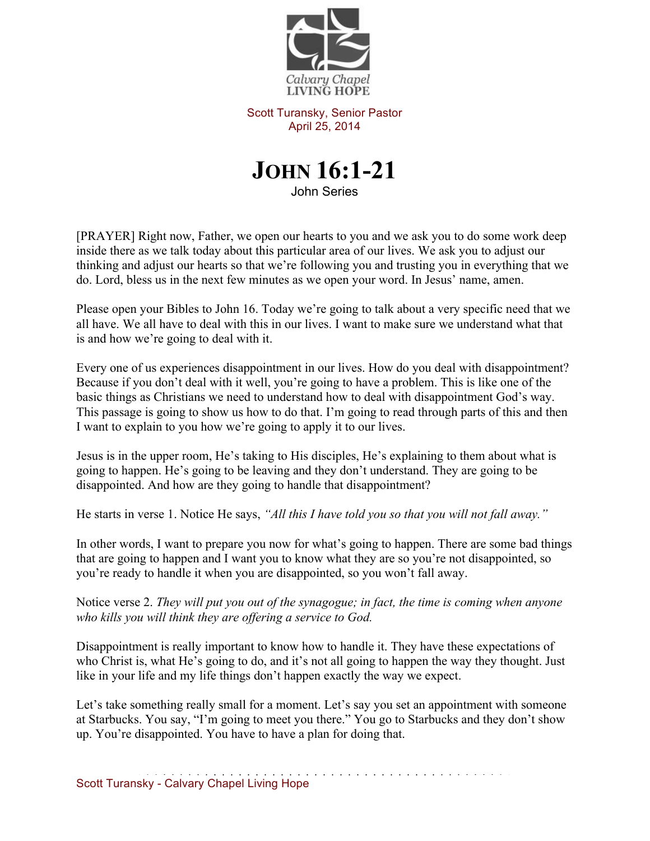

Scott Turansky, Senior Pastor April 25, 2014



John Series

[PRAYER] Right now, Father, we open our hearts to you and we ask you to do some work deep inside there as we talk today about this particular area of our lives. We ask you to adjust our thinking and adjust our hearts so that we're following you and trusting you in everything that we do. Lord, bless us in the next few minutes as we open your word. In Jesus' name, amen.

Please open your Bibles to John 16. Today we're going to talk about a very specific need that we all have. We all have to deal with this in our lives. I want to make sure we understand what that is and how we're going to deal with it.

Every one of us experiences disappointment in our lives. How do you deal with disappointment? Because if you don't deal with it well, you're going to have a problem. This is like one of the basic things as Christians we need to understand how to deal with disappointment God's way. This passage is going to show us how to do that. I'm going to read through parts of this and then I want to explain to you how we're going to apply it to our lives.

Jesus is in the upper room, He's taking to His disciples, He's explaining to them about what is going to happen. He's going to be leaving and they don't understand. They are going to be disappointed. And how are they going to handle that disappointment?

He starts in verse 1. Notice He says, *"All this I have told you so that you will not fall away."*

In other words, I want to prepare you now for what's going to happen. There are some bad things that are going to happen and I want you to know what they are so you're not disappointed, so you're ready to handle it when you are disappointed, so you won't fall away.

Notice verse 2. *They will put you out of the synagogue; in fact, the time is coming when anyone who kills you will think they are offering a service to God.* 

Disappointment is really important to know how to handle it. They have these expectations of who Christ is, what He's going to do, and it's not all going to happen the way they thought. Just like in your life and my life things don't happen exactly the way we expect.

Let's take something really small for a moment. Let's say you set an appointment with someone at Starbucks. You say, "I'm going to meet you there." You go to Starbucks and they don't show up. You're disappointed. You have to have a plan for doing that.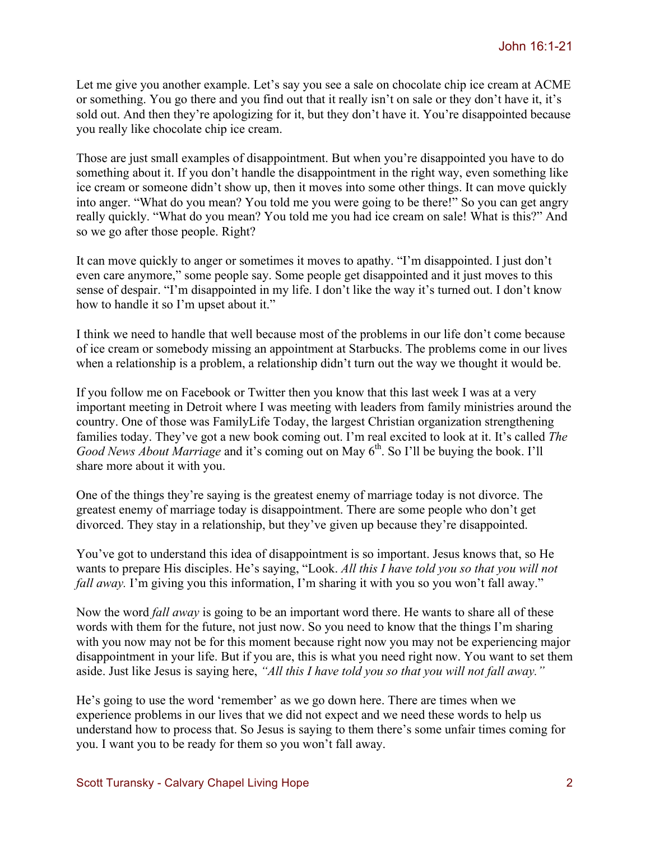Let me give you another example. Let's say you see a sale on chocolate chip ice cream at ACME or something. You go there and you find out that it really isn't on sale or they don't have it, it's sold out. And then they're apologizing for it, but they don't have it. You're disappointed because you really like chocolate chip ice cream.

Those are just small examples of disappointment. But when you're disappointed you have to do something about it. If you don't handle the disappointment in the right way, even something like ice cream or someone didn't show up, then it moves into some other things. It can move quickly into anger. "What do you mean? You told me you were going to be there!" So you can get angry really quickly. "What do you mean? You told me you had ice cream on sale! What is this?" And so we go after those people. Right?

It can move quickly to anger or sometimes it moves to apathy. "I'm disappointed. I just don't even care anymore," some people say. Some people get disappointed and it just moves to this sense of despair. "I'm disappointed in my life. I don't like the way it's turned out. I don't know how to handle it so I'm upset about it."

I think we need to handle that well because most of the problems in our life don't come because of ice cream or somebody missing an appointment at Starbucks. The problems come in our lives when a relationship is a problem, a relationship didn't turn out the way we thought it would be.

If you follow me on Facebook or Twitter then you know that this last week I was at a very important meeting in Detroit where I was meeting with leaders from family ministries around the country. One of those was FamilyLife Today, the largest Christian organization strengthening families today. They've got a new book coming out. I'm real excited to look at it. It's called *The Good News About Marriage* and it's coming out on May 6<sup>th</sup>. So I'll be buying the book. I'll share more about it with you.

One of the things they're saying is the greatest enemy of marriage today is not divorce. The greatest enemy of marriage today is disappointment. There are some people who don't get divorced. They stay in a relationship, but they've given up because they're disappointed.

You've got to understand this idea of disappointment is so important. Jesus knows that, so He wants to prepare His disciples. He's saying, "Look. *All this I have told you so that you will not fall away*. I'm giving you this information, I'm sharing it with you so you won't fall away."

Now the word *fall away* is going to be an important word there. He wants to share all of these words with them for the future, not just now. So you need to know that the things I'm sharing with you now may not be for this moment because right now you may not be experiencing major disappointment in your life. But if you are, this is what you need right now. You want to set them aside. Just like Jesus is saying here, *"All this I have told you so that you will not fall away."*

He's going to use the word 'remember' as we go down here. There are times when we experience problems in our lives that we did not expect and we need these words to help us understand how to process that. So Jesus is saying to them there's some unfair times coming for you. I want you to be ready for them so you won't fall away.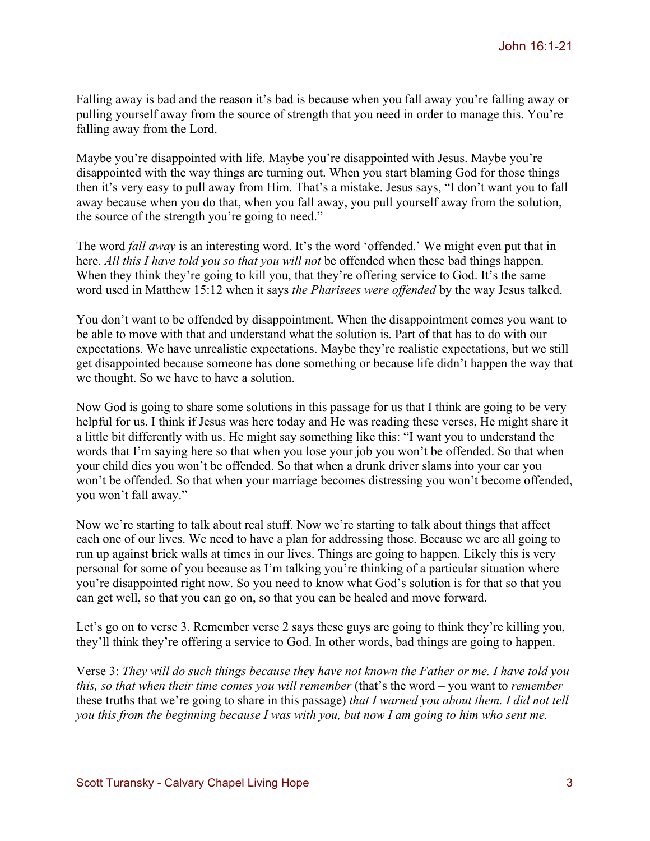Falling away is bad and the reason it's bad is because when you fall away you're falling away or pulling yourself away from the source of strength that you need in order to manage this. You're falling away from the Lord.

Maybe you're disappointed with life. Maybe you're disappointed with Jesus. Maybe you're disappointed with the way things are turning out. When you start blaming God for those things then it's very easy to pull away from Him. That's a mistake. Jesus says, "I don't want you to fall away because when you do that, when you fall away, you pull yourself away from the solution, the source of the strength you're going to need."

The word *fall away* is an interesting word. It's the word 'offended.' We might even put that in here. *All this I have told you so that you will not* be offended when these bad things happen. When they think they're going to kill you, that they're offering service to God. It's the same word used in Matthew 15:12 when it says *the Pharisees were offended* by the way Jesus talked.

You don't want to be offended by disappointment. When the disappointment comes you want to be able to move with that and understand what the solution is. Part of that has to do with our expectations. We have unrealistic expectations. Maybe they're realistic expectations, but we still get disappointed because someone has done something or because life didn't happen the way that we thought. So we have to have a solution.

Now God is going to share some solutions in this passage for us that I think are going to be very helpful for us. I think if Jesus was here today and He was reading these verses, He might share it a little bit differently with us. He might say something like this: "I want you to understand the words that I'm saying here so that when you lose your job you won't be offended. So that when your child dies you won't be offended. So that when a drunk driver slams into your car you won't be offended. So that when your marriage becomes distressing you won't become offended, you won't fall away."

Now we're starting to talk about real stuff. Now we're starting to talk about things that affect each one of our lives. We need to have a plan for addressing those. Because we are all going to run up against brick walls at times in our lives. Things are going to happen. Likely this is very personal for some of you because as I'm talking you're thinking of a particular situation where you're disappointed right now. So you need to know what God's solution is for that so that you can get well, so that you can go on, so that you can be healed and move forward.

Let's go on to verse 3. Remember verse 2 says these guys are going to think they're killing you, they'll think they're offering a service to God. In other words, bad things are going to happen.

Verse 3: *They will do such things because they have not known the Father or me. I have told you this, so that when their time comes you will remember* (that's the word – you want to *remember* these truths that we're going to share in this passage) *that I warned you about them. I did not tell you this from the beginning because I was with you, but now I am going to him who sent me.*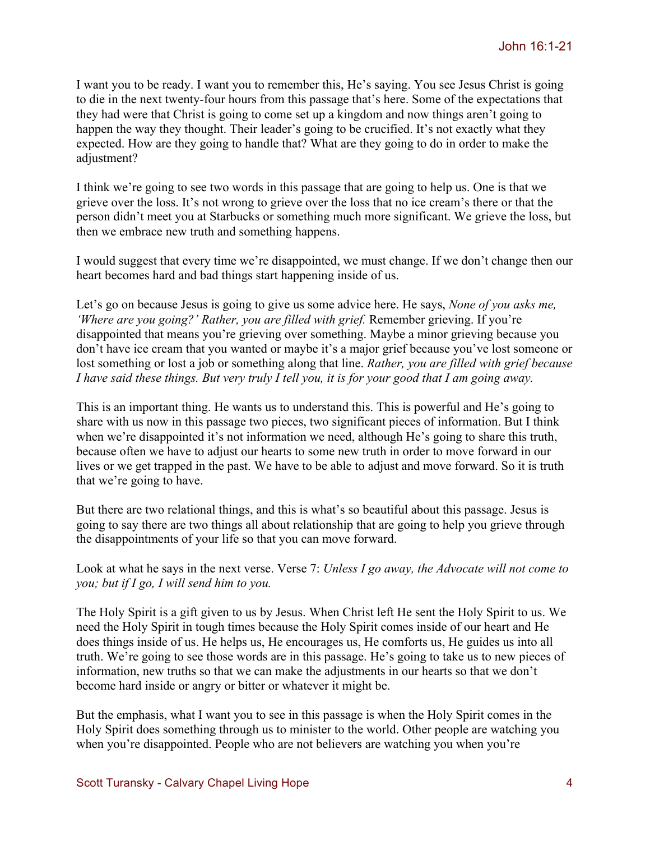I want you to be ready. I want you to remember this, He's saying. You see Jesus Christ is going to die in the next twenty-four hours from this passage that's here. Some of the expectations that they had were that Christ is going to come set up a kingdom and now things aren't going to happen the way they thought. Their leader's going to be crucified. It's not exactly what they expected. How are they going to handle that? What are they going to do in order to make the adjustment?

I think we're going to see two words in this passage that are going to help us. One is that we grieve over the loss. It's not wrong to grieve over the loss that no ice cream's there or that the person didn't meet you at Starbucks or something much more significant. We grieve the loss, but then we embrace new truth and something happens.

I would suggest that every time we're disappointed, we must change. If we don't change then our heart becomes hard and bad things start happening inside of us.

Let's go on because Jesus is going to give us some advice here. He says, *None of you asks me, 'Where are you going?' Rather, you are filled with grief. Remember grieving. If you're* disappointed that means you're grieving over something. Maybe a minor grieving because you don't have ice cream that you wanted or maybe it's a major grief because you've lost someone or lost something or lost a job or something along that line. *Rather, you are filled with grief because I have said these things. But very truly I tell you, it is for your good that I am going away.* 

This is an important thing. He wants us to understand this. This is powerful and He's going to share with us now in this passage two pieces, two significant pieces of information. But I think when we're disappointed it's not information we need, although He's going to share this truth, because often we have to adjust our hearts to some new truth in order to move forward in our lives or we get trapped in the past. We have to be able to adjust and move forward. So it is truth that we're going to have.

But there are two relational things, and this is what's so beautiful about this passage. Jesus is going to say there are two things all about relationship that are going to help you grieve through the disappointments of your life so that you can move forward.

Look at what he says in the next verse. Verse 7: *Unless I go away, the Advocate will not come to you; but if I go, I will send him to you.* 

The Holy Spirit is a gift given to us by Jesus. When Christ left He sent the Holy Spirit to us. We need the Holy Spirit in tough times because the Holy Spirit comes inside of our heart and He does things inside of us. He helps us, He encourages us, He comforts us, He guides us into all truth. We're going to see those words are in this passage. He's going to take us to new pieces of information, new truths so that we can make the adjustments in our hearts so that we don't become hard inside or angry or bitter or whatever it might be.

But the emphasis, what I want you to see in this passage is when the Holy Spirit comes in the Holy Spirit does something through us to minister to the world. Other people are watching you when you're disappointed. People who are not believers are watching you when you're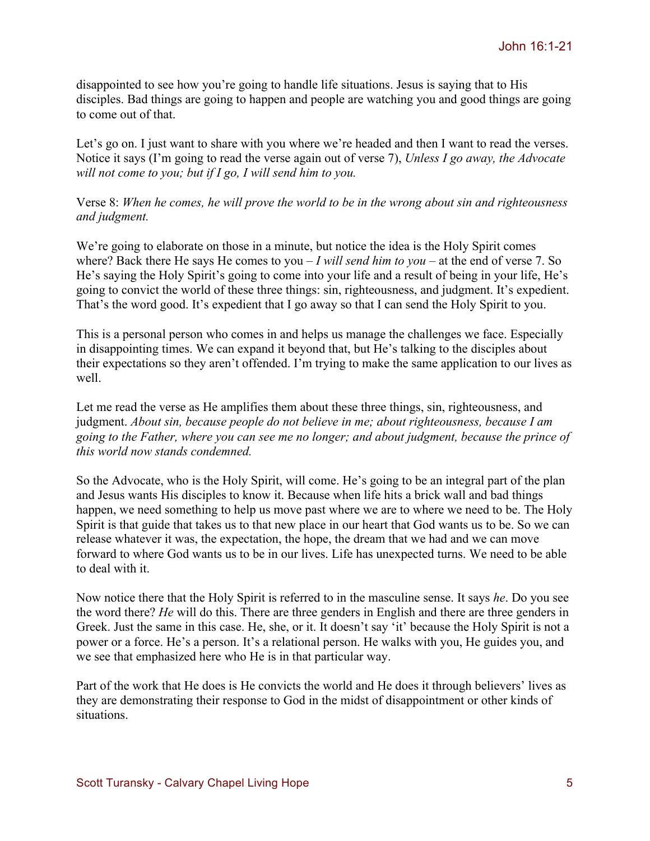disappointed to see how you're going to handle life situations. Jesus is saying that to His disciples. Bad things are going to happen and people are watching you and good things are going to come out of that.

Let's go on. I just want to share with you where we're headed and then I want to read the verses. Notice it says (I'm going to read the verse again out of verse 7), *Unless I go away, the Advocate will not come to you; but if I go, I will send him to you.*

## Verse 8: *When he comes, he will prove the world to be in the wrong about sin and righteousness and judgment.*

We're going to elaborate on those in a minute, but notice the idea is the Holy Spirit comes where? Back there He says He comes to you – *I will send him to you* – at the end of verse 7. So He's saying the Holy Spirit's going to come into your life and a result of being in your life, He's going to convict the world of these three things: sin, righteousness, and judgment. It's expedient. That's the word good. It's expedient that I go away so that I can send the Holy Spirit to you.

This is a personal person who comes in and helps us manage the challenges we face. Especially in disappointing times. We can expand it beyond that, but He's talking to the disciples about their expectations so they aren't offended. I'm trying to make the same application to our lives as well.

Let me read the verse as He amplifies them about these three things, sin, righteousness, and judgment. *About sin, because people do not believe in me; about righteousness, because I am going to the Father, where you can see me no longer; and about judgment, because the prince of this world now stands condemned.*

So the Advocate, who is the Holy Spirit, will come. He's going to be an integral part of the plan and Jesus wants His disciples to know it. Because when life hits a brick wall and bad things happen, we need something to help us move past where we are to where we need to be. The Holy Spirit is that guide that takes us to that new place in our heart that God wants us to be. So we can release whatever it was, the expectation, the hope, the dream that we had and we can move forward to where God wants us to be in our lives. Life has unexpected turns. We need to be able to deal with it.

Now notice there that the Holy Spirit is referred to in the masculine sense. It says *he*. Do you see the word there? *He* will do this. There are three genders in English and there are three genders in Greek. Just the same in this case. He, she, or it. It doesn't say 'it' because the Holy Spirit is not a power or a force. He's a person. It's a relational person. He walks with you, He guides you, and we see that emphasized here who He is in that particular way.

Part of the work that He does is He convicts the world and He does it through believers' lives as they are demonstrating their response to God in the midst of disappointment or other kinds of situations.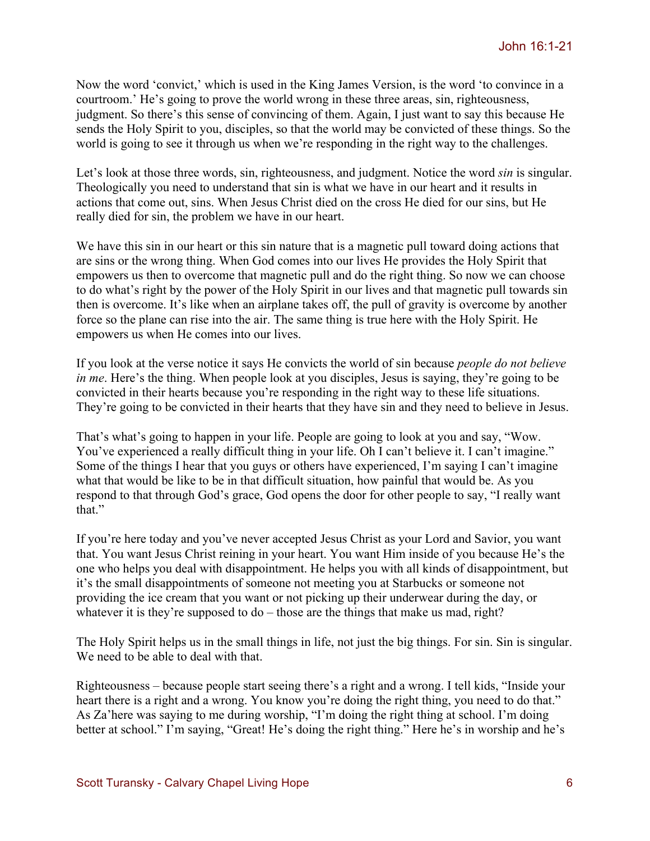Now the word 'convict,' which is used in the King James Version, is the word 'to convince in a courtroom.' He's going to prove the world wrong in these three areas, sin, righteousness, judgment. So there's this sense of convincing of them. Again, I just want to say this because He sends the Holy Spirit to you, disciples, so that the world may be convicted of these things. So the world is going to see it through us when we're responding in the right way to the challenges.

Let's look at those three words, sin, righteousness, and judgment. Notice the word *sin* is singular. Theologically you need to understand that sin is what we have in our heart and it results in actions that come out, sins. When Jesus Christ died on the cross He died for our sins, but He really died for sin, the problem we have in our heart.

We have this sin in our heart or this sin nature that is a magnetic pull toward doing actions that are sins or the wrong thing. When God comes into our lives He provides the Holy Spirit that empowers us then to overcome that magnetic pull and do the right thing. So now we can choose to do what's right by the power of the Holy Spirit in our lives and that magnetic pull towards sin then is overcome. It's like when an airplane takes off, the pull of gravity is overcome by another force so the plane can rise into the air. The same thing is true here with the Holy Spirit. He empowers us when He comes into our lives.

If you look at the verse notice it says He convicts the world of sin because *people do not believe in me*. Here's the thing. When people look at you disciples, Jesus is saying, they're going to be convicted in their hearts because you're responding in the right way to these life situations. They're going to be convicted in their hearts that they have sin and they need to believe in Jesus.

That's what's going to happen in your life. People are going to look at you and say, "Wow. You've experienced a really difficult thing in your life. Oh I can't believe it. I can't imagine." Some of the things I hear that you guys or others have experienced, I'm saying I can't imagine what that would be like to be in that difficult situation, how painful that would be. As you respond to that through God's grace, God opens the door for other people to say, "I really want that."

If you're here today and you've never accepted Jesus Christ as your Lord and Savior, you want that. You want Jesus Christ reining in your heart. You want Him inside of you because He's the one who helps you deal with disappointment. He helps you with all kinds of disappointment, but it's the small disappointments of someone not meeting you at Starbucks or someone not providing the ice cream that you want or not picking up their underwear during the day, or whatever it is they're supposed to do – those are the things that make us mad, right?

The Holy Spirit helps us in the small things in life, not just the big things. For sin. Sin is singular. We need to be able to deal with that.

Righteousness – because people start seeing there's a right and a wrong. I tell kids, "Inside your heart there is a right and a wrong. You know you're doing the right thing, you need to do that." As Za'here was saying to me during worship, "I'm doing the right thing at school. I'm doing better at school." I'm saying, "Great! He's doing the right thing." Here he's in worship and he's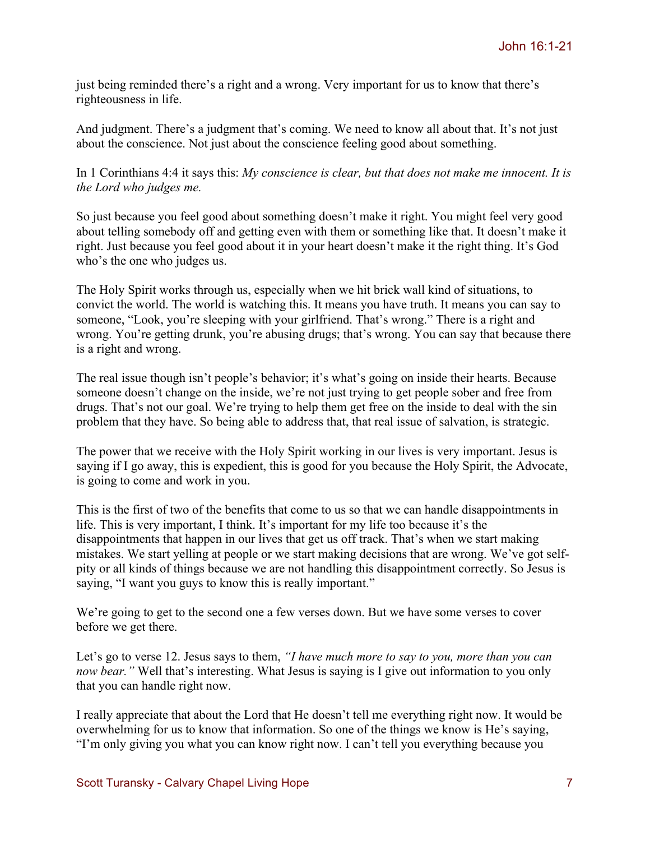just being reminded there's a right and a wrong. Very important for us to know that there's righteousness in life.

And judgment. There's a judgment that's coming. We need to know all about that. It's not just about the conscience. Not just about the conscience feeling good about something.

In 1 Corinthians 4:4 it says this: *My conscience is clear, but that does not make me innocent. It is the Lord who judges me.* 

So just because you feel good about something doesn't make it right. You might feel very good about telling somebody off and getting even with them or something like that. It doesn't make it right. Just because you feel good about it in your heart doesn't make it the right thing. It's God who's the one who judges us.

The Holy Spirit works through us, especially when we hit brick wall kind of situations, to convict the world. The world is watching this. It means you have truth. It means you can say to someone, "Look, you're sleeping with your girlfriend. That's wrong." There is a right and wrong. You're getting drunk, you're abusing drugs; that's wrong. You can say that because there is a right and wrong.

The real issue though isn't people's behavior; it's what's going on inside their hearts. Because someone doesn't change on the inside, we're not just trying to get people sober and free from drugs. That's not our goal. We're trying to help them get free on the inside to deal with the sin problem that they have. So being able to address that, that real issue of salvation, is strategic.

The power that we receive with the Holy Spirit working in our lives is very important. Jesus is saying if I go away, this is expedient, this is good for you because the Holy Spirit, the Advocate, is going to come and work in you.

This is the first of two of the benefits that come to us so that we can handle disappointments in life. This is very important, I think. It's important for my life too because it's the disappointments that happen in our lives that get us off track. That's when we start making mistakes. We start yelling at people or we start making decisions that are wrong. We've got selfpity or all kinds of things because we are not handling this disappointment correctly. So Jesus is saying, "I want you guys to know this is really important."

We're going to get to the second one a few verses down. But we have some verses to cover before we get there.

Let's go to verse 12. Jesus says to them, *"I have much more to say to you, more than you can now bear."* Well that's interesting. What Jesus is saying is I give out information to you only that you can handle right now.

I really appreciate that about the Lord that He doesn't tell me everything right now. It would be overwhelming for us to know that information. So one of the things we know is He's saying, "I'm only giving you what you can know right now. I can't tell you everything because you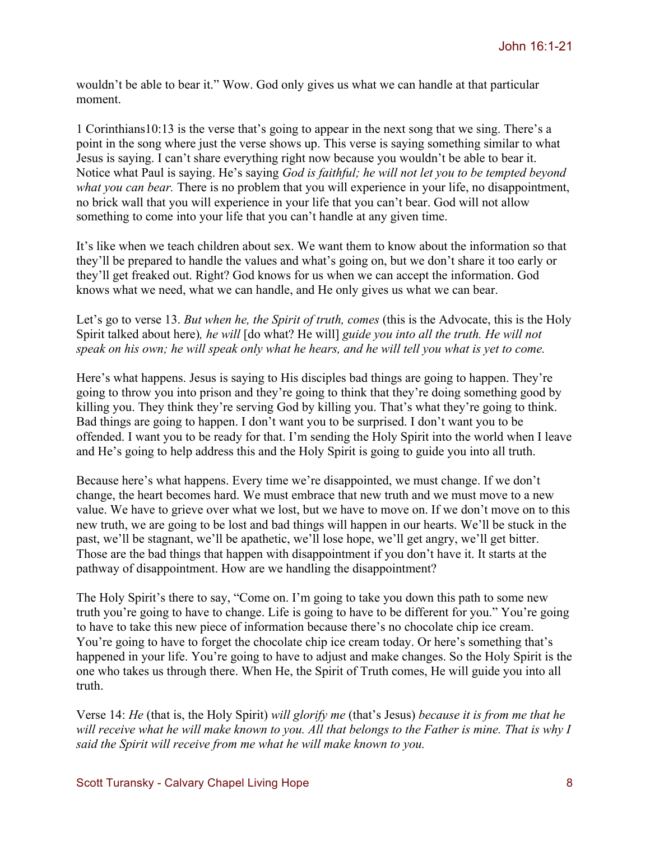wouldn't be able to bear it." Wow. God only gives us what we can handle at that particular moment.

1 Corinthians10:13 is the verse that's going to appear in the next song that we sing. There's a point in the song where just the verse shows up. This verse is saying something similar to what Jesus is saying. I can't share everything right now because you wouldn't be able to bear it. Notice what Paul is saying. He's saying *God is faithful; he will not let you to be tempted beyond what you can bear.* There is no problem that you will experience in your life, no disappointment, no brick wall that you will experience in your life that you can't bear. God will not allow something to come into your life that you can't handle at any given time.

It's like when we teach children about sex. We want them to know about the information so that they'll be prepared to handle the values and what's going on, but we don't share it too early or they'll get freaked out. Right? God knows for us when we can accept the information. God knows what we need, what we can handle, and He only gives us what we can bear.

Let's go to verse 13. *But when he, the Spirit of truth, comes* (this is the Advocate, this is the Holy Spirit talked about here)*, he will* [do what? He will] *guide you into all the truth. He will not speak on his own; he will speak only what he hears, and he will tell you what is yet to come.* 

Here's what happens. Jesus is saying to His disciples bad things are going to happen. They're going to throw you into prison and they're going to think that they're doing something good by killing you. They think they're serving God by killing you. That's what they're going to think. Bad things are going to happen. I don't want you to be surprised. I don't want you to be offended. I want you to be ready for that. I'm sending the Holy Spirit into the world when I leave and He's going to help address this and the Holy Spirit is going to guide you into all truth.

Because here's what happens. Every time we're disappointed, we must change. If we don't change, the heart becomes hard. We must embrace that new truth and we must move to a new value. We have to grieve over what we lost, but we have to move on. If we don't move on to this new truth, we are going to be lost and bad things will happen in our hearts. We'll be stuck in the past, we'll be stagnant, we'll be apathetic, we'll lose hope, we'll get angry, we'll get bitter. Those are the bad things that happen with disappointment if you don't have it. It starts at the pathway of disappointment. How are we handling the disappointment?

The Holy Spirit's there to say, "Come on. I'm going to take you down this path to some new truth you're going to have to change. Life is going to have to be different for you." You're going to have to take this new piece of information because there's no chocolate chip ice cream. You're going to have to forget the chocolate chip ice cream today. Or here's something that's happened in your life. You're going to have to adjust and make changes. So the Holy Spirit is the one who takes us through there. When He, the Spirit of Truth comes, He will guide you into all truth.

Verse 14: *He* (that is, the Holy Spirit) *will glorify me* (that's Jesus) *because it is from me that he will receive what he will make known to you. All that belongs to the Father is mine. That is why I said the Spirit will receive from me what he will make known to you.*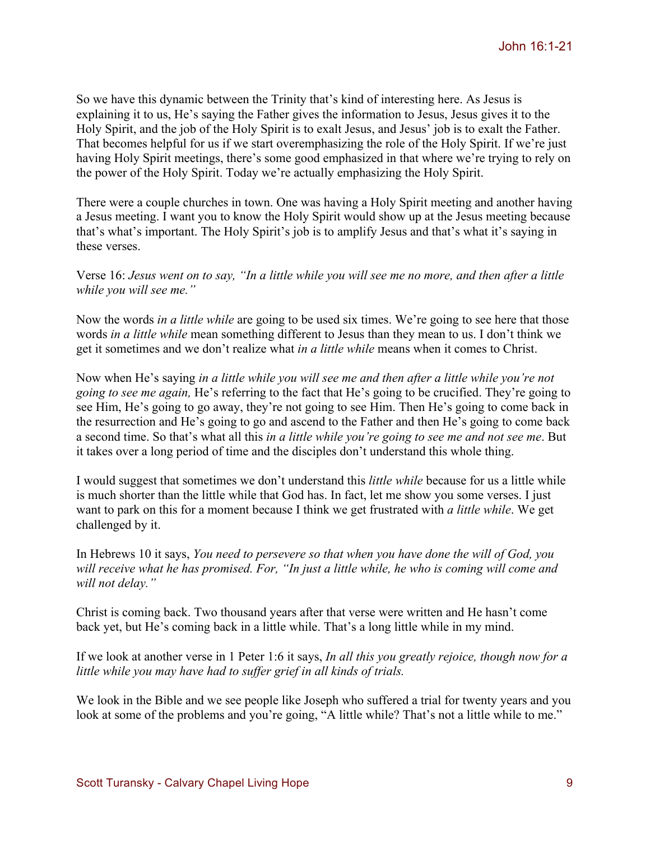So we have this dynamic between the Trinity that's kind of interesting here. As Jesus is explaining it to us, He's saying the Father gives the information to Jesus, Jesus gives it to the Holy Spirit, and the job of the Holy Spirit is to exalt Jesus, and Jesus' job is to exalt the Father. That becomes helpful for us if we start overemphasizing the role of the Holy Spirit. If we're just having Holy Spirit meetings, there's some good emphasized in that where we're trying to rely on the power of the Holy Spirit. Today we're actually emphasizing the Holy Spirit.

There were a couple churches in town. One was having a Holy Spirit meeting and another having a Jesus meeting. I want you to know the Holy Spirit would show up at the Jesus meeting because that's what's important. The Holy Spirit's job is to amplify Jesus and that's what it's saying in these verses.

## Verse 16: *Jesus went on to say, "In a little while you will see me no more, and then after a little while you will see me."*

Now the words *in a little while* are going to be used six times. We're going to see here that those words *in a little while* mean something different to Jesus than they mean to us. I don't think we get it sometimes and we don't realize what *in a little while* means when it comes to Christ.

Now when He's saying *in a little while you will see me and then after a little while you're not going to see me again,* He's referring to the fact that He's going to be crucified. They're going to see Him, He's going to go away, they're not going to see Him. Then He's going to come back in the resurrection and He's going to go and ascend to the Father and then He's going to come back a second time. So that's what all this *in a little while you're going to see me and not see me*. But it takes over a long period of time and the disciples don't understand this whole thing.

I would suggest that sometimes we don't understand this *little while* because for us a little while is much shorter than the little while that God has. In fact, let me show you some verses. I just want to park on this for a moment because I think we get frustrated with *a little while*. We get challenged by it.

In Hebrews 10 it says, *You need to persevere so that when you have done the will of God, you will receive what he has promised. For, "In just a little while, he who is coming will come and will not delay."* 

Christ is coming back. Two thousand years after that verse were written and He hasn't come back yet, but He's coming back in a little while. That's a long little while in my mind.

If we look at another verse in 1 Peter 1:6 it says, *In all this you greatly rejoice, though now for a little while you may have had to suffer grief in all kinds of trials.* 

We look in the Bible and we see people like Joseph who suffered a trial for twenty years and you look at some of the problems and you're going, "A little while? That's not a little while to me."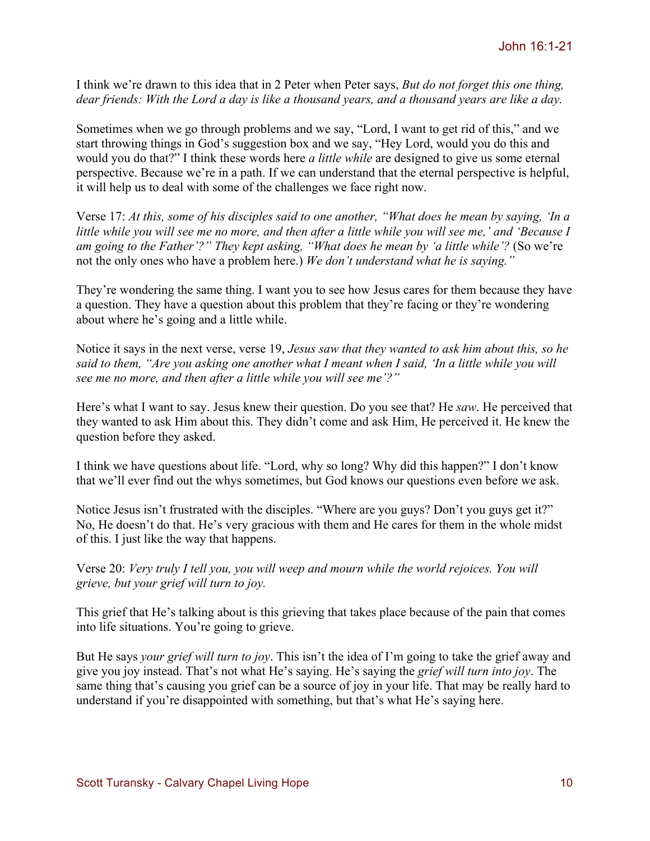I think we're drawn to this idea that in 2 Peter when Peter says, *But do not forget this one thing, dear friends: With the Lord a day is like a thousand years, and a thousand years are like a day.* 

Sometimes when we go through problems and we say, "Lord, I want to get rid of this," and we start throwing things in God's suggestion box and we say, "Hey Lord, would you do this and would you do that?" I think these words here *a little while* are designed to give us some eternal perspective. Because we're in a path. If we can understand that the eternal perspective is helpful, it will help us to deal with some of the challenges we face right now.

Verse 17: *At this, some of his disciples said to one another, "What does he mean by saying, 'In a little while you will see me no more, and then after a little while you will see me,' and 'Because I am going to the Father'?" They kept asking, "What does he mean by 'a little while'?* (So we're not the only ones who have a problem here.) *We don't understand what he is saying."* 

They're wondering the same thing. I want you to see how Jesus cares for them because they have a question. They have a question about this problem that they're facing or they're wondering about where he's going and a little while.

Notice it says in the next verse, verse 19, *Jesus saw that they wanted to ask him about this, so he said to them, "Are you asking one another what I meant when I said, 'In a little while you will see me no more, and then after a little while you will see me'?"* 

Here's what I want to say. Jesus knew their question. Do you see that? He *saw*. He perceived that they wanted to ask Him about this. They didn't come and ask Him, He perceived it. He knew the question before they asked.

I think we have questions about life. "Lord, why so long? Why did this happen?" I don't know that we'll ever find out the whys sometimes, but God knows our questions even before we ask.

Notice Jesus isn't frustrated with the disciples. "Where are you guys? Don't you guys get it?" No, He doesn't do that. He's very gracious with them and He cares for them in the whole midst of this. I just like the way that happens.

Verse 20: *Very truly I tell you, you will weep and mourn while the world rejoices. You will grieve, but your grief will turn to joy.* 

This grief that He's talking about is this grieving that takes place because of the pain that comes into life situations. You're going to grieve.

But He says *your grief will turn to joy*. This isn't the idea of I'm going to take the grief away and give you joy instead. That's not what He's saying. He's saying the *grief will turn into joy*. The same thing that's causing you grief can be a source of joy in your life. That may be really hard to understand if you're disappointed with something, but that's what He's saying here.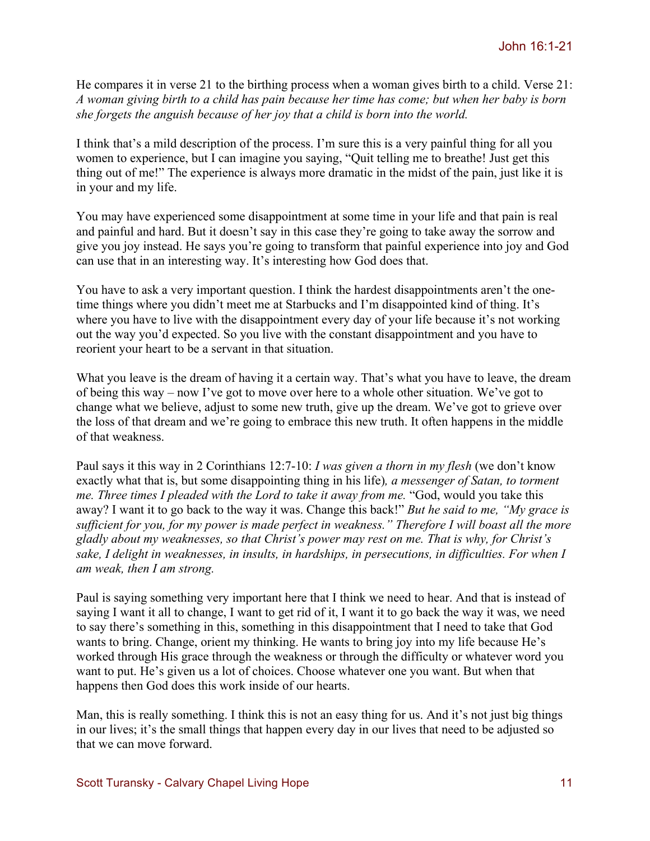He compares it in verse 21 to the birthing process when a woman gives birth to a child. Verse 21: *A woman giving birth to a child has pain because her time has come; but when her baby is born she forgets the anguish because of her joy that a child is born into the world.*

I think that's a mild description of the process. I'm sure this is a very painful thing for all you women to experience, but I can imagine you saying, "Quit telling me to breathe! Just get this thing out of me!" The experience is always more dramatic in the midst of the pain, just like it is in your and my life.

You may have experienced some disappointment at some time in your life and that pain is real and painful and hard. But it doesn't say in this case they're going to take away the sorrow and give you joy instead. He says you're going to transform that painful experience into joy and God can use that in an interesting way. It's interesting how God does that.

You have to ask a very important question. I think the hardest disappointments aren't the onetime things where you didn't meet me at Starbucks and I'm disappointed kind of thing. It's where you have to live with the disappointment every day of your life because it's not working out the way you'd expected. So you live with the constant disappointment and you have to reorient your heart to be a servant in that situation.

What you leave is the dream of having it a certain way. That's what you have to leave, the dream of being this way – now I've got to move over here to a whole other situation. We've got to change what we believe, adjust to some new truth, give up the dream. We've got to grieve over the loss of that dream and we're going to embrace this new truth. It often happens in the middle of that weakness.

Paul says it this way in 2 Corinthians 12:7-10: *I was given a thorn in my flesh* (we don't know exactly what that is, but some disappointing thing in his life)*, a messenger of Satan, to torment me. Three times I pleaded with the Lord to take it away from me.* "God, would you take this away? I want it to go back to the way it was. Change this back!" *But he said to me, "My grace is sufficient for you, for my power is made perfect in weakness." Therefore I will boast all the more gladly about my weaknesses, so that Christ's power may rest on me. That is why, for Christ's sake, I delight in weaknesses, in insults, in hardships, in persecutions, in difficulties. For when I am weak, then I am strong.*

Paul is saying something very important here that I think we need to hear. And that is instead of saying I want it all to change, I want to get rid of it, I want it to go back the way it was, we need to say there's something in this, something in this disappointment that I need to take that God wants to bring. Change, orient my thinking. He wants to bring joy into my life because He's worked through His grace through the weakness or through the difficulty or whatever word you want to put. He's given us a lot of choices. Choose whatever one you want. But when that happens then God does this work inside of our hearts.

Man, this is really something. I think this is not an easy thing for us. And it's not just big things in our lives; it's the small things that happen every day in our lives that need to be adjusted so that we can move forward.